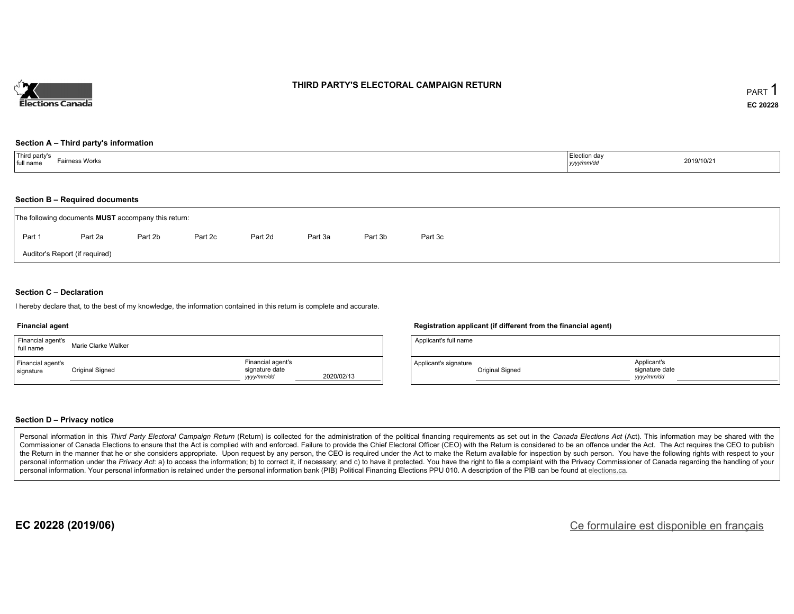

#### **THIRD PARTY'S ELECTORAL CAMPAIGN RETURN**

#### **Section A – Third party's information**

| Third party's<br>Fairness Works<br>$ $ full name | Election day<br>yyyy/mm/dd | 2019/10/21 |
|--------------------------------------------------|----------------------------|------------|
|--------------------------------------------------|----------------------------|------------|

#### **Section B – Required documents**

| The following documents <b>MUST</b> accompany this return: |         |         |         |         |         |         |         |  |  |  |
|------------------------------------------------------------|---------|---------|---------|---------|---------|---------|---------|--|--|--|
| Part 1                                                     | Part 2a | Part 2b | Part 2c | Part 2d | Part 3a | Part 3b | Part 3c |  |  |  |
| Auditor's Report (if required)                             |         |         |         |         |         |         |         |  |  |  |

#### **Section C – Declaration**

I hereby declare that, to the best of my knowledge, the information contained in this return is complete and accurate.

#### **Financial agent**

| Financial agent's<br>full name | Marie Clarke Walker |                                                   |            |
|--------------------------------|---------------------|---------------------------------------------------|------------|
| Financial agent's<br>signature | Original Signed     | Financial agent's<br>signature date<br>yyyy/mm/dd | 2020/02/13 |

#### **Registration applicant (if different from the financial agent)**

| Applicant's full name |                 |                                            |  |
|-----------------------|-----------------|--------------------------------------------|--|
| Applicant's signature | Original Signed | Applicant's<br>signature date<br>vyy/mm/dd |  |

#### **Section D – Privacy notice**

Personal information in this Third Party Electoral Campaign Return (Return) is collected for the administration of the political financing requirements as set out in the Canada Elections Act (Act). This information may be Commissioner of Canada Elections to ensure that the Act is complied with and enforced. Failure to provide the Chief Electoral Officer (CEO) with the Return is considered to be an offence under the Act. The Act requires the the Return in the manner that he or she considers appropriate. Upon request by any person, the CEO is required under the Act to make the Return available for inspection by such person. You have the following rights with re personal information under the Privacy Act: a) to access the information; b) to correct it, if necessary; and c) to have it protected. You have the right to file a complaint with the Privacy Commissioner of Canada regardin personal information. Your personal information is retained under the personal information bank (PIB) Political Financing Elections PPU 010. A description of the PIB can be found at elections.ca.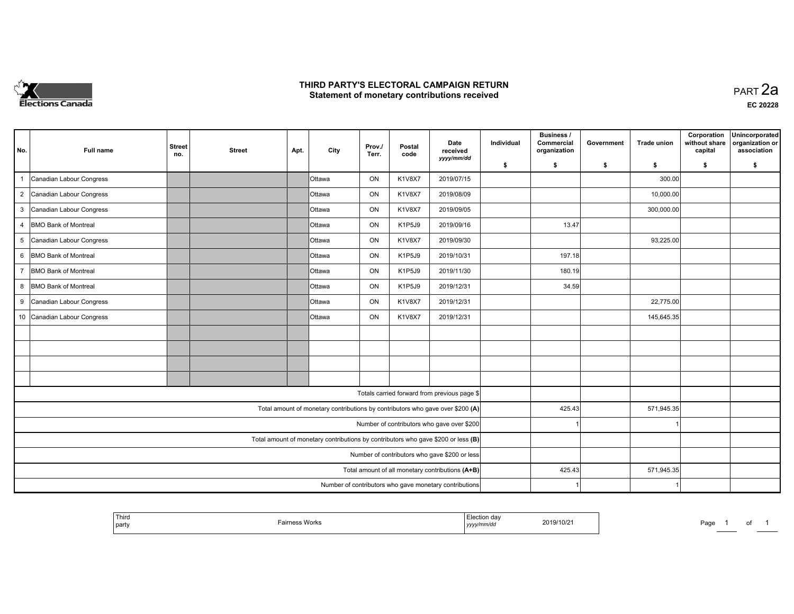

#### **THIRD PARTY'S ELECTORAL CAMPAIGN RETURN HIRD PARTY'S ELECTORAL CAMPAIGN RETURN<br>Statement of monetary contributions received PART 2a PART 2a**

| No.            | Full name                                                                         | <b>Street</b><br>no.                             | <b>Street</b> | Apt.   | City            | Prov./<br>Terr. | Postal<br>code | Date<br>received<br>yyyy/mm/dd                         | Individual | Business /<br>Commercial<br>organization | Government | <b>Trade union</b> | Corporation<br>without share<br>capital | Unincorporated<br>organization or<br>association |
|----------------|-----------------------------------------------------------------------------------|--------------------------------------------------|---------------|--------|-----------------|-----------------|----------------|--------------------------------------------------------|------------|------------------------------------------|------------|--------------------|-----------------------------------------|--------------------------------------------------|
|                |                                                                                   |                                                  |               |        |                 |                 |                |                                                        | \$         | s.                                       | -\$        | s.                 | \$                                      | \$                                               |
| $\overline{1}$ | Canadian Labour Congress                                                          |                                                  |               |        | IOttawa         | ON              | <b>K1V8X7</b>  | 2019/07/15                                             |            |                                          |            | 300.00             |                                         |                                                  |
| $\overline{2}$ | Canadian Labour Congress                                                          |                                                  |               |        | IOttawa         | ON              | K1V8X7         | 2019/08/09                                             |            |                                          |            | 10,000.00          |                                         |                                                  |
| 3              | Canadian Labour Congress                                                          |                                                  |               |        | <b>Ottawa</b>   | ON              | <b>K1V8X7</b>  | 2019/09/05                                             |            |                                          |            | 300,000.00         |                                         |                                                  |
| $\overline{4}$ | <b>BMO Bank of Montreal</b>                                                       |                                                  |               |        | <b>Ottawa</b>   | ON              | K1P5J9         | 2019/09/16                                             |            | 13.47                                    |            |                    |                                         |                                                  |
| 5              | Canadian Labour Congress                                                          |                                                  |               |        | <b>Ottawa</b>   | ON              | K1V8X7         | 2019/09/30                                             |            |                                          |            | 93,225.00          |                                         |                                                  |
| 6              | <b>BMO Bank of Montreal</b>                                                       |                                                  |               |        | <b>Ottawa</b>   | ON              | K1P5J9         | 2019/10/31                                             |            | 197.18                                   |            |                    |                                         |                                                  |
| $\overline{7}$ | <b>BMO Bank of Montreal</b>                                                       |                                                  |               |        | <b>I</b> Ottawa | ON              | K1P5J9         | 2019/11/30                                             |            | 180.19                                   |            |                    |                                         |                                                  |
| 8              | <b>BMO Bank of Montreal</b>                                                       |                                                  |               |        | <b>Ottawa</b>   | ON              | K1P5J9         | 2019/12/31                                             |            | 34.59                                    |            |                    |                                         |                                                  |
| 9              | Canadian Labour Congress                                                          |                                                  |               |        | IOttawa         | ON              | K1V8X7         | 2019/12/31                                             |            |                                          |            | 22,775.00          |                                         |                                                  |
|                | 10 Canadian Labour Congress                                                       |                                                  |               |        | <b>Ottawa</b>   | ON              | K1V8X7         | 2019/12/31                                             |            |                                          |            | 145,645.35         |                                         |                                                  |
|                |                                                                                   |                                                  |               |        |                 |                 |                |                                                        |            |                                          |            |                    |                                         |                                                  |
|                |                                                                                   |                                                  |               |        |                 |                 |                |                                                        |            |                                          |            |                    |                                         |                                                  |
|                |                                                                                   |                                                  |               |        |                 |                 |                |                                                        |            |                                          |            |                    |                                         |                                                  |
|                |                                                                                   |                                                  |               |        |                 |                 |                |                                                        |            |                                          |            |                    |                                         |                                                  |
|                |                                                                                   |                                                  |               |        |                 |                 |                | Totals carried forward from previous page \$           |            |                                          |            |                    |                                         |                                                  |
|                | Total amount of monetary contributions by contributors who gave over \$200 (A)    |                                                  |               |        |                 |                 |                |                                                        |            | 425.43                                   |            | 571,945.35         |                                         |                                                  |
|                | Number of contributors who gave over \$200                                        |                                                  |               |        |                 |                 |                |                                                        |            |                                          |            |                    |                                         |                                                  |
|                | Total amount of monetary contributions by contributors who gave \$200 or less (B) |                                                  |               |        |                 |                 |                |                                                        |            |                                          |            |                    |                                         |                                                  |
|                | Number of contributors who gave \$200 or less                                     |                                                  |               |        |                 |                 |                |                                                        |            |                                          |            |                    |                                         |                                                  |
|                |                                                                                   | Total amount of all monetary contributions (A+B) |               | 425.43 |                 | 571,945.35      |                |                                                        |            |                                          |            |                    |                                         |                                                  |
|                |                                                                                   |                                                  |               |        |                 |                 |                | Number of contributors who gave monetary contributions |            |                                          |            |                    |                                         |                                                  |

|  | Third<br>party | Wor | ı dav<br>,,,,,,<br>$1$ yyyy $\prime\prime$ | 2019/10/21 | $\lambda$<br>∽aut |  | וש |  |
|--|----------------|-----|--------------------------------------------|------------|-------------------|--|----|--|
|--|----------------|-----|--------------------------------------------|------------|-------------------|--|----|--|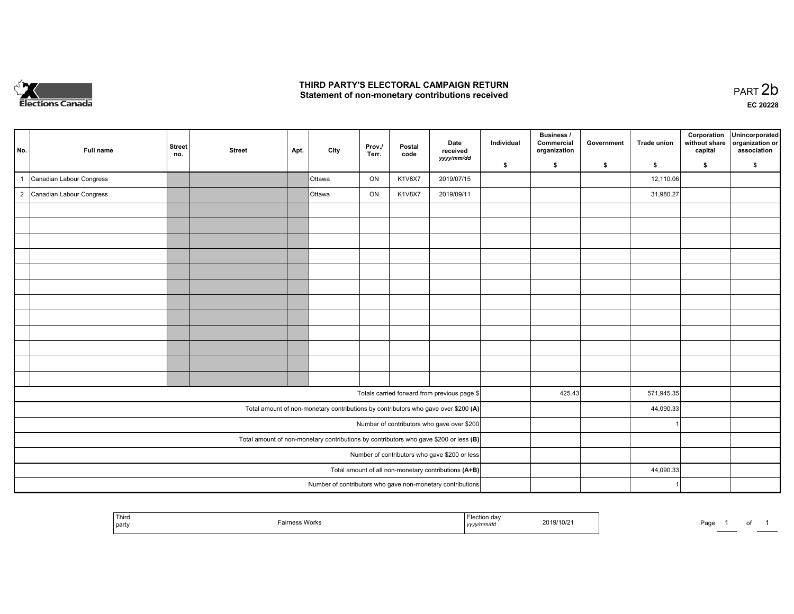

## **THIRD PARTY'S ELECTORAL CAMPAIGN RETURN**  THIRD PARTY'S ELECTORAL CAMPAIGN RETURN<br>Statement of non-monetary contributions received<br> **PART 2b**

| No.                                                                                     | Full name                  | Street<br>no. | <b>Street</b> | Apt. | City          | Prov./<br>Terr. | Postal<br>code | Date<br>received<br>yyyy/mm/dd                                                     | Individual | <b>Business /</b><br>Commercial<br>organization | Government | <b>Trade union</b> | Corporation<br>without share<br>capital | Unincorporated<br>organization or<br>association |
|-----------------------------------------------------------------------------------------|----------------------------|---------------|---------------|------|---------------|-----------------|----------------|------------------------------------------------------------------------------------|------------|-------------------------------------------------|------------|--------------------|-----------------------------------------|--------------------------------------------------|
|                                                                                         |                            |               |               |      |               |                 |                |                                                                                    | \$         | \$                                              | \$         | $\sqrt{2}$         | \$                                      | \$                                               |
|                                                                                         | Canadian Labour Congress   |               |               |      | <b>Ottawa</b> | ON              | <b>K1V8X7</b>  | 2019/07/15                                                                         |            |                                                 |            | 12,110.06          |                                         |                                                  |
|                                                                                         | 2 Canadian Labour Congress |               |               |      | <b>Ottawa</b> | ON              | <b>K1V8X7</b>  | 2019/09/11                                                                         |            |                                                 |            | 31,980.27          |                                         |                                                  |
|                                                                                         |                            |               |               |      |               |                 |                |                                                                                    |            |                                                 |            |                    |                                         |                                                  |
|                                                                                         |                            |               |               |      |               |                 |                |                                                                                    |            |                                                 |            |                    |                                         |                                                  |
|                                                                                         |                            |               |               |      |               |                 |                |                                                                                    |            |                                                 |            |                    |                                         |                                                  |
|                                                                                         |                            |               |               |      |               |                 |                |                                                                                    |            |                                                 |            |                    |                                         |                                                  |
|                                                                                         |                            |               |               |      |               |                 |                |                                                                                    |            |                                                 |            |                    |                                         |                                                  |
|                                                                                         |                            |               |               |      |               |                 |                |                                                                                    |            |                                                 |            |                    |                                         |                                                  |
|                                                                                         |                            |               |               |      |               |                 |                |                                                                                    |            |                                                 |            |                    |                                         |                                                  |
|                                                                                         |                            |               |               |      |               |                 |                |                                                                                    |            |                                                 |            |                    |                                         |                                                  |
|                                                                                         |                            |               |               |      |               |                 |                |                                                                                    |            |                                                 |            |                    |                                         |                                                  |
|                                                                                         |                            |               |               |      |               |                 |                |                                                                                    |            |                                                 |            |                    |                                         |                                                  |
|                                                                                         |                            |               |               |      |               |                 |                |                                                                                    |            |                                                 |            |                    |                                         |                                                  |
|                                                                                         |                            |               |               |      |               |                 |                |                                                                                    |            |                                                 |            |                    |                                         |                                                  |
|                                                                                         |                            |               |               |      |               |                 |                | Totals carried forward from previous page \$                                       |            | 425.43                                          |            | 571,945.35         |                                         |                                                  |
|                                                                                         |                            |               |               |      |               |                 |                | Total amount of non-monetary contributions by contributors who gave over \$200 (A) |            |                                                 |            | 44,090.33          |                                         |                                                  |
|                                                                                         |                            |               |               |      |               |                 |                | Number of contributors who gave over \$200                                         |            |                                                 |            |                    |                                         |                                                  |
| Total amount of non-monetary contributions by contributors who gave \$200 or less $(B)$ |                            |               |               |      |               |                 |                |                                                                                    |            |                                                 |            |                    |                                         |                                                  |
| Number of contributors who gave \$200 or less                                           |                            |               |               |      |               |                 |                |                                                                                    |            |                                                 |            |                    |                                         |                                                  |
| Total amount of all non-monetary contributions $(A+B)$                                  |                            |               |               |      |               |                 |                |                                                                                    |            |                                                 |            | 44,090.33          |                                         |                                                  |
|                                                                                         |                            |               |               |      |               |                 |                | Number of contributors who gave non-monetary contributions                         |            |                                                 |            |                    |                                         |                                                  |

|  | ' Third<br>  party | › Works | aa<br>ynnnvuc<br>נעצען<br>the contract of the contract of the | 2019/10/21 | Pag<br>-- | ______ | $\cdot$ |  |
|--|--------------------|---------|---------------------------------------------------------------|------------|-----------|--------|---------|--|
|--|--------------------|---------|---------------------------------------------------------------|------------|-----------|--------|---------|--|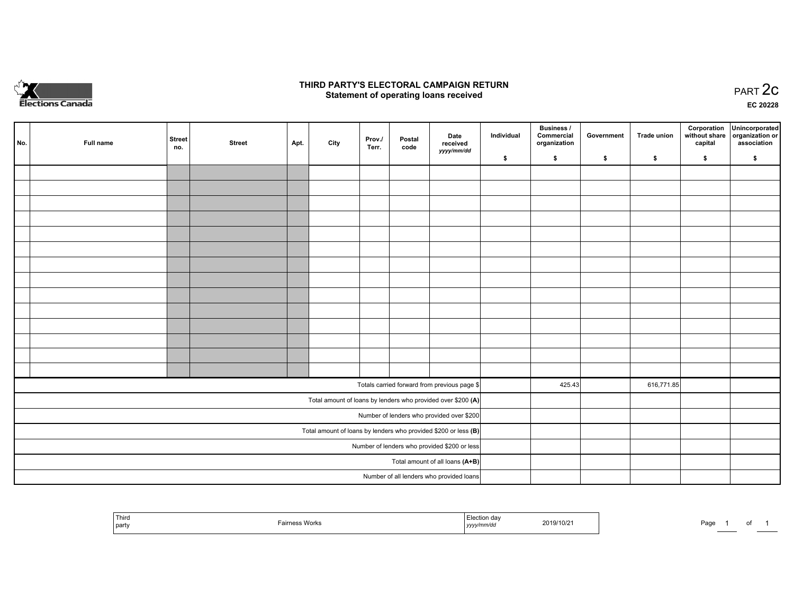

#### **THIRD PARTY'S ELECTORAL CAMPAIGN RETURN STATE:** PRACT OF OPPRESS TO PART 2C STATE STATE STATE STATE STATE STATE STATE STATE STATE STATE STATE STATE STA<br>PART 2C Statement of operating loans received

**EC 20228**

|                                                                 | No.                                       | Full name | <b>Street</b><br>no. | <b>Street</b> | Apt. | City | Prov./<br>Terr. | Postal<br>code | Date<br>received<br>yyyy/mm/dd                               | Individual | <b>Business /</b><br>Commercial<br>organization | Government | <b>Trade union</b> | Corporation<br>capital | Unincorporated<br>without share organization or<br>association |
|-----------------------------------------------------------------|-------------------------------------------|-----------|----------------------|---------------|------|------|-----------------|----------------|--------------------------------------------------------------|------------|-------------------------------------------------|------------|--------------------|------------------------|----------------------------------------------------------------|
|                                                                 |                                           |           |                      |               |      |      |                 |                |                                                              | \$         | \$                                              | \$         | \$                 | \$                     | \$                                                             |
|                                                                 |                                           |           |                      |               |      |      |                 |                |                                                              |            |                                                 |            |                    |                        |                                                                |
|                                                                 |                                           |           |                      |               |      |      |                 |                |                                                              |            |                                                 |            |                    |                        |                                                                |
|                                                                 |                                           |           |                      |               |      |      |                 |                |                                                              |            |                                                 |            |                    |                        |                                                                |
|                                                                 |                                           |           |                      |               |      |      |                 |                |                                                              |            |                                                 |            |                    |                        |                                                                |
|                                                                 |                                           |           |                      |               |      |      |                 |                |                                                              |            |                                                 |            |                    |                        |                                                                |
|                                                                 |                                           |           |                      |               |      |      |                 |                |                                                              |            |                                                 |            |                    |                        |                                                                |
|                                                                 |                                           |           |                      |               |      |      |                 |                |                                                              |            |                                                 |            |                    |                        |                                                                |
|                                                                 |                                           |           |                      |               |      |      |                 |                |                                                              |            |                                                 |            |                    |                        |                                                                |
|                                                                 |                                           |           |                      |               |      |      |                 |                |                                                              |            |                                                 |            |                    |                        |                                                                |
|                                                                 |                                           |           |                      |               |      |      |                 |                |                                                              |            |                                                 |            |                    |                        |                                                                |
|                                                                 |                                           |           |                      |               |      |      |                 |                |                                                              |            |                                                 |            |                    |                        |                                                                |
|                                                                 |                                           |           |                      |               |      |      |                 |                |                                                              |            |                                                 |            |                    |                        |                                                                |
|                                                                 |                                           |           |                      |               |      |      |                 |                |                                                              |            |                                                 |            |                    |                        |                                                                |
|                                                                 |                                           |           |                      |               |      |      |                 |                |                                                              |            |                                                 |            |                    |                        |                                                                |
|                                                                 |                                           |           |                      |               |      |      |                 |                | Totals carried forward from previous page \$                 |            | 425.43                                          |            | 616,771.85         |                        |                                                                |
|                                                                 |                                           |           |                      |               |      |      |                 |                | Total amount of loans by lenders who provided over \$200 (A) |            |                                                 |            |                    |                        |                                                                |
|                                                                 | Number of lenders who provided over \$200 |           |                      |               |      |      |                 |                |                                                              |            |                                                 |            |                    |                        |                                                                |
| Total amount of loans by lenders who provided \$200 or less (B) |                                           |           |                      |               |      |      |                 |                |                                                              |            |                                                 |            |                    |                        |                                                                |
| Number of lenders who provided \$200 or less                    |                                           |           |                      |               |      |      |                 |                |                                                              |            |                                                 |            |                    |                        |                                                                |
| Total amount of all loans (A+B)                                 |                                           |           |                      |               |      |      |                 |                |                                                              |            |                                                 |            |                    |                        |                                                                |
|                                                                 |                                           |           |                      |               |      |      |                 |                | Number of all lenders who provided loans                     |            |                                                 |            |                    |                        |                                                                |

|  | Third<br>  party | vvorr | ,,,, | 2019/10/21 | au |  |  |  |
|--|------------------|-------|------|------------|----|--|--|--|
|--|------------------|-------|------|------------|----|--|--|--|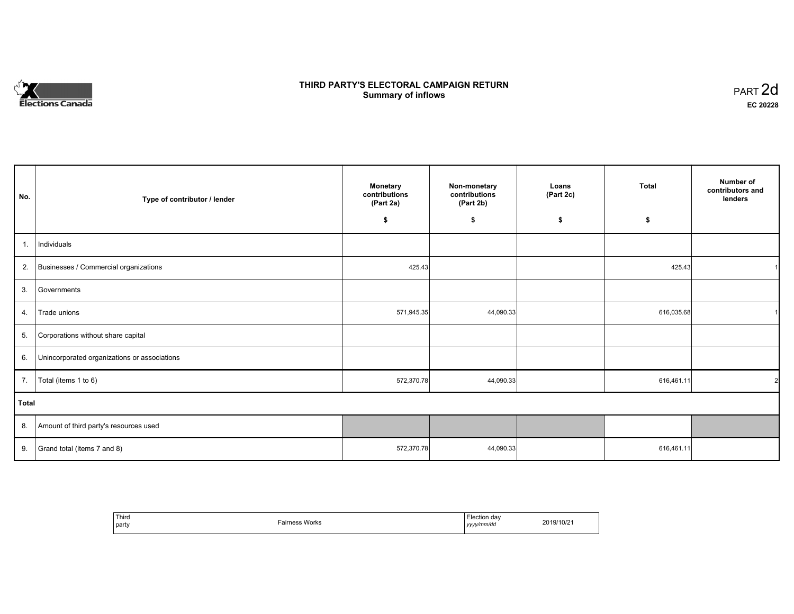# **Elections Canada**

# **THIRD PARTY'S ELECTORAL CAMPAIGN RETURN Summary of inflows**

| PART <sub>2d</sub> |  |
|--------------------|--|
| EC 20228           |  |

| No.   | Type of contributor / lender                 | <b>Monetary</b><br>contributions<br>(Part 2a) | Non-monetary<br>contributions<br>(Part 2b) | Loans<br>(Part 2c) | <b>Total</b> | Number of<br>contributors and<br>lenders |
|-------|----------------------------------------------|-----------------------------------------------|--------------------------------------------|--------------------|--------------|------------------------------------------|
|       |                                              | \$                                            | \$                                         | \$                 | \$           |                                          |
| 1.    | Individuals                                  |                                               |                                            |                    |              |                                          |
| 2.    | Businesses / Commercial organizations        | 425.43                                        |                                            |                    | 425.43       | 1                                        |
| 3.    | Governments                                  |                                               |                                            |                    |              |                                          |
| 4.    | Trade unions                                 | 571,945.35                                    | 44,090.33                                  |                    | 616,035.68   |                                          |
| 5.    | Corporations without share capital           |                                               |                                            |                    |              |                                          |
| 6.    | Unincorporated organizations or associations |                                               |                                            |                    |              |                                          |
| 7.    | Total (items 1 to 6)                         | 572,370.78                                    | 44,090.33                                  |                    | 616,461.11   | $\overline{2}$                           |
| Total |                                              |                                               |                                            |                    |              |                                          |
| 8.    | Amount of third party's resources used       |                                               |                                            |                    |              |                                          |
| 9.    | Grand total (items 7 and 8)                  | 572,370.78                                    | 44,090.33                                  |                    | 616,461.11   |                                          |

| ' Third<br>party | Fairness Works | Election day<br>yyyy/mm/dd<br>,,,, | 2019/10/2 |
|------------------|----------------|------------------------------------|-----------|
|------------------|----------------|------------------------------------|-----------|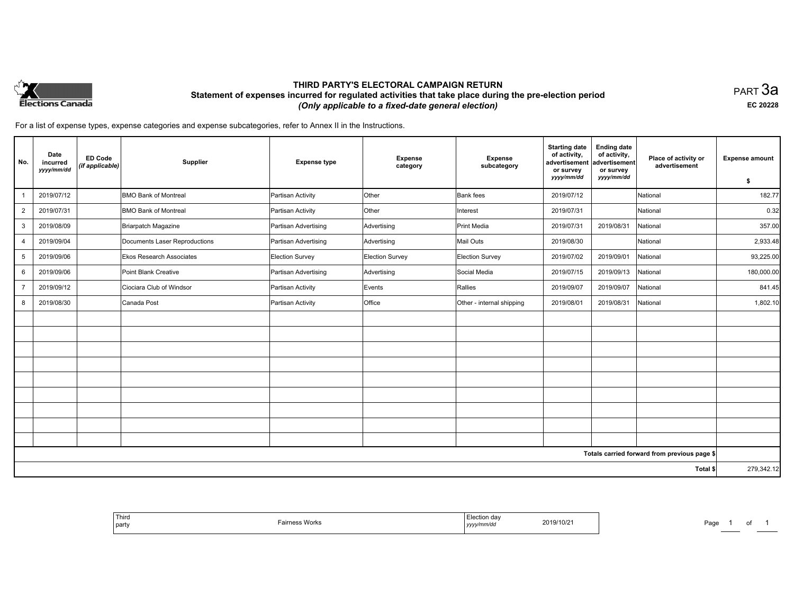

## **THIRD PARTY'S ELECTORAL CAMPAIGN RETURN Statement of expenses incurred for regulated activities that take place during the pre-election period**  *(Only applicable to a fixed-date general election)*

PART 3a **EC 20228**

For a list of expense types, expense categories and expense subcategories, refer to Annex II in the Instructions.

| No.            | Date<br>incurred<br>yyyy/mm/dd | <b>ED Code</b><br>(if applicable) | Supplier                        | <b>Expense type</b>  | <b>Expense</b><br>category | <b>Expense</b><br>subcategory | <b>Starting date</b><br>of activity,<br>advertisement<br>or survey<br>yyyy/mm/dd | <b>Ending date</b><br>of activity,<br>advertisement<br>or survey<br>yyyy/mm/dd | Place of activity or<br>advertisement        | <b>Expense amount</b> |
|----------------|--------------------------------|-----------------------------------|---------------------------------|----------------------|----------------------------|-------------------------------|----------------------------------------------------------------------------------|--------------------------------------------------------------------------------|----------------------------------------------|-----------------------|
|                |                                |                                   |                                 |                      |                            |                               |                                                                                  |                                                                                |                                              | \$                    |
|                | 2019/07/12                     |                                   | <b>BMO Bank of Montreal</b>     | Partisan Activity    | Other                      | <b>Bank</b> fees              | 2019/07/12                                                                       |                                                                                | National                                     | 182.77                |
| $\overline{2}$ | 2019/07/31                     |                                   | <b>BMO Bank of Montreal</b>     | Partisan Activity    | Other                      | Interest                      | 2019/07/31                                                                       |                                                                                | National                                     | 0.32                  |
| 3              | 2019/08/09                     |                                   | Briarpatch Magazine             | Partisan Advertising | Advertising                | Print Media                   | 2019/07/31                                                                       | 2019/08/31                                                                     | National                                     | 357.00                |
| $\overline{4}$ | 2019/09/04                     |                                   | Documents Laser Reproductions   | Partisan Advertising | Advertising                | Mail Outs                     | 2019/08/30                                                                       |                                                                                | National                                     | 2,933.48              |
| 5              | 2019/09/06                     |                                   | <b>Ekos Research Associates</b> | Election Survey      | Election Survey            | <b>Election Survey</b>        | 2019/07/02                                                                       | 2019/09/01                                                                     | National                                     | 93,225.00             |
| 6              | 2019/09/06                     |                                   | Point Blank Creative            | Partisan Advertising | Advertising                | Social Media                  | 2019/07/15                                                                       | 2019/09/13                                                                     | National                                     | 180,000.00            |
| $\overline{7}$ | 2019/09/12                     |                                   | Ciociara Club of Windsor        | Partisan Activity    | Events                     | Rallies                       | 2019/09/07                                                                       | 2019/09/07                                                                     | National                                     | 841.45                |
| 8              | 2019/08/30                     |                                   | Canada Post                     | Partisan Activity    | Office                     | Other - internal shipping     | 2019/08/01                                                                       | 2019/08/31                                                                     | National                                     | 1,802.10              |
|                |                                |                                   |                                 |                      |                            |                               |                                                                                  |                                                                                |                                              |                       |
|                |                                |                                   |                                 |                      |                            |                               |                                                                                  |                                                                                |                                              |                       |
|                |                                |                                   |                                 |                      |                            |                               |                                                                                  |                                                                                |                                              |                       |
|                |                                |                                   |                                 |                      |                            |                               |                                                                                  |                                                                                |                                              |                       |
|                |                                |                                   |                                 |                      |                            |                               |                                                                                  |                                                                                |                                              |                       |
|                |                                |                                   |                                 |                      |                            |                               |                                                                                  |                                                                                |                                              |                       |
|                |                                |                                   |                                 |                      |                            |                               |                                                                                  |                                                                                |                                              |                       |
|                |                                |                                   |                                 |                      |                            |                               |                                                                                  |                                                                                |                                              |                       |
|                |                                |                                   |                                 |                      |                            |                               |                                                                                  |                                                                                |                                              |                       |
|                |                                |                                   |                                 |                      |                            |                               |                                                                                  |                                                                                | Totals carried forward from previous page \$ |                       |
|                |                                |                                   |                                 |                      |                            |                               |                                                                                  |                                                                                | Total \$                                     | 279,342.12            |

| Third<br>Tairness Works<br>  party | Election day<br>2019/10/2<br>.<br>yyyy/mm/dd | Paɑ<br>. . |
|------------------------------------|----------------------------------------------|------------|
|------------------------------------|----------------------------------------------|------------|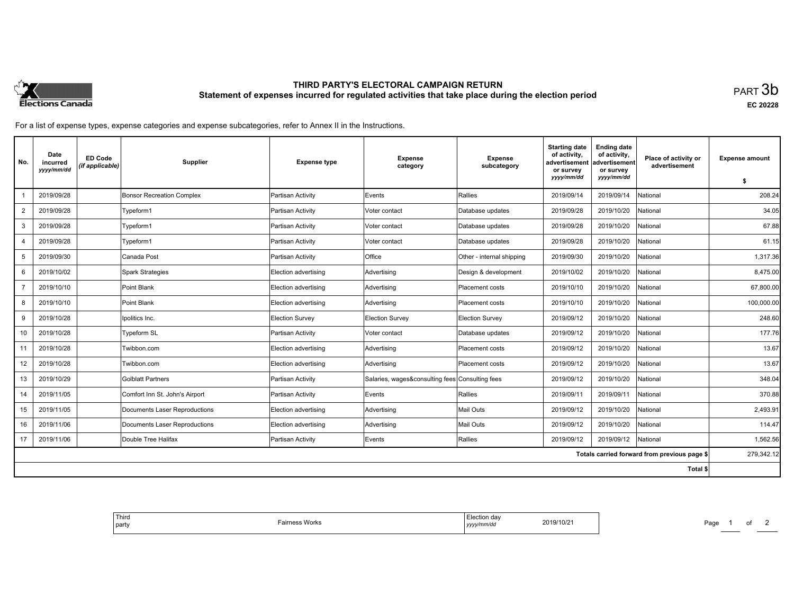

# **THIRD PARTY'S ELECTORAL CAMPAIGN RETURN Statement of expenses incurred for regulated activities that take place during the election period**<br>PART  $3\mathsf{b}$

**EC 20228**

For a list of expense types, expense categories and expense subcategories, refer to Annex II in the Instructions.

| No.            | Date<br>incurred<br>yyyy/mm/dd | <b>ED Code</b><br>(if applicable) | <b>Supplier</b>                  | <b>Expense type</b>  | <b>Expense</b><br>category                      | <b>Expense</b><br>subcategory | <b>Starting date</b><br>of activity,<br>advertisement<br>or survey<br>yyyy/mm/dd | <b>Ending date</b><br>of activity,<br>advertisement<br>or survey<br>yyyy/mm/dd | Place of activity or<br>advertisement        | <b>Expense amount</b><br>\$ |
|----------------|--------------------------------|-----------------------------------|----------------------------------|----------------------|-------------------------------------------------|-------------------------------|----------------------------------------------------------------------------------|--------------------------------------------------------------------------------|----------------------------------------------|-----------------------------|
|                | 2019/09/28                     |                                   | <b>Bonsor Recreation Complex</b> | Partisan Activity    | Events                                          | Rallies                       | 2019/09/14                                                                       | 2019/09/14                                                                     | <b>National</b>                              | 208.24                      |
| $\overline{2}$ | 2019/09/28                     |                                   | Typeform1                        | Partisan Activity    | Voter contact                                   | Database updates              | 2019/09/28                                                                       | 2019/10/20                                                                     | Vational                                     | 34.05                       |
| 3              | 2019/09/28                     |                                   | Typeform1                        | Partisan Activity    | Voter contact                                   | Database updates              | 2019/09/28                                                                       | 2019/10/20                                                                     | National                                     | 67.88                       |
|                | 2019/09/28                     |                                   | Typeform1                        | Partisan Activity    | Voter contact                                   | Database updates              | 2019/09/28                                                                       | 2019/10/20                                                                     | National                                     | 61.15                       |
| 5              | 2019/09/30                     |                                   | Canada Post                      | Partisan Activity    | <b>Office</b>                                   | Other - internal shipping     | 2019/09/30                                                                       | 2019/10/20                                                                     | Vational                                     | 1,317.36                    |
| 6              | 2019/10/02                     |                                   | Spark Strategies                 | Election advertising | Advertising                                     | Design & development          | 2019/10/02                                                                       | 2019/10/20                                                                     | <b>National</b>                              | 8,475.00                    |
|                | 2019/10/10                     |                                   | Point Blank                      | Election advertising | Advertising                                     | Placement costs               | 2019/10/10                                                                       | 2019/10/20                                                                     | National                                     | 67,800.00                   |
| 8              | 2019/10/10                     |                                   | Point Blank                      | Election advertising | Advertising                                     | <b>Placement costs</b>        | 2019/10/10                                                                       | 2019/10/20                                                                     | National                                     | 100,000.00                  |
| 9              | 2019/10/28                     |                                   | Ipolitics Inc.                   | Election Survey      | <b>Election Survey</b>                          | <b>Election Survey</b>        | 2019/09/12                                                                       | 2019/10/20                                                                     | National                                     | 248.60                      |
| 10             | 2019/10/28                     |                                   | Typeform SL                      | Partisan Activity    | Voter contact                                   | Database updates              | 2019/09/12                                                                       | 2019/10/20                                                                     | National                                     | 177.76                      |
| 11             | 2019/10/28                     |                                   | Twibbon.com                      | Election advertising | Advertising                                     | <b>Placement costs</b>        | 2019/09/12                                                                       | 2019/10/20                                                                     | National                                     | 13.67                       |
| 12             | 2019/10/28                     |                                   | Twibbon.com                      | Election advertising | Advertising                                     | <b>Placement costs</b>        | 2019/09/12                                                                       | 2019/10/20                                                                     | National                                     | 13.67                       |
| 13             | 2019/10/29                     |                                   | <b>Golblatt Partners</b>         | Partisan Activity    | Salaries, wages&consulting fees Consulting fees |                               | 2019/09/12                                                                       | 2019/10/20                                                                     | National                                     | 348.04                      |
| 14             | 2019/11/05                     |                                   | Comfort Inn St. John's Airport   | Partisan Activity    | Events                                          | Rallies                       | 2019/09/11                                                                       | 2019/09/11                                                                     | National                                     | 370.88                      |
| 15             | 2019/11/05                     |                                   | Documents Laser Reproductions    | Election advertising | Advertising                                     | Mail Outs                     | 2019/09/12                                                                       | 2019/10/20                                                                     | <b>National</b>                              | 2,493.91                    |
| 16             | 2019/11/06                     |                                   | Documents Laser Reproductions    | Election advertising | Advertising                                     | <b>Mail Outs</b>              | 2019/09/12                                                                       | 2019/10/20                                                                     | <b>National</b>                              | 114.47                      |
| 17             | 2019/11/06                     |                                   | Double Tree Halifax              | Partisan Activity    | Events                                          | Rallies                       | 2019/09/12                                                                       | 2019/09/12                                                                     | National                                     | 1,562.56                    |
|                |                                |                                   |                                  |                      |                                                 |                               |                                                                                  |                                                                                | Totals carried forward from previous page \$ | 279,342.12                  |
| Total \$       |                                |                                   |                                  |                      |                                                 |                               |                                                                                  |                                                                                |                                              |                             |

| Third<br>⊡lection dav<br>2019/10/21<br>Works<br>airness<br>  party<br>vy/mm/du<br>1111<br>.<br>. |
|--------------------------------------------------------------------------------------------------|
|--------------------------------------------------------------------------------------------------|

Page 1 of 2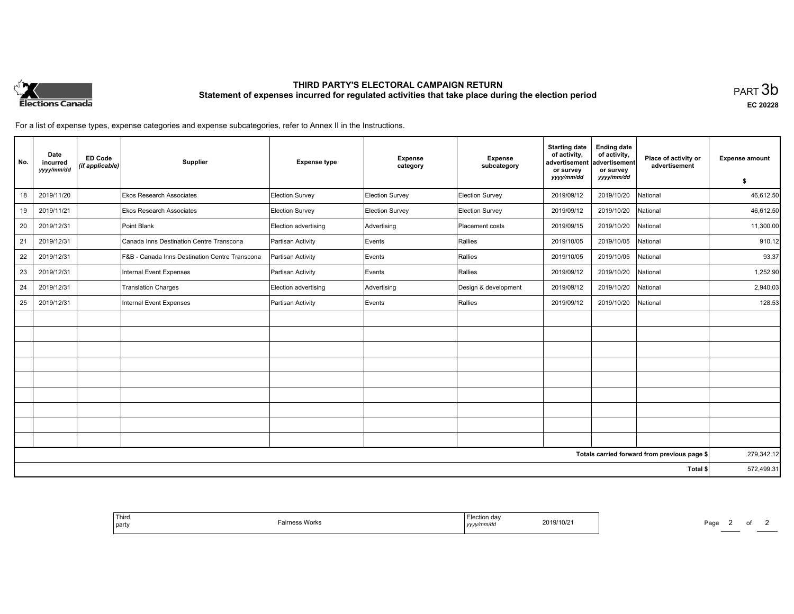

# **THIRD PARTY'S ELECTORAL CAMPAIGN RETURN Statement of expenses incurred for regulated activities that take place during the election period**<br>PART  $3\mathsf{b}$

**EC 20228**

For a list of expense types, expense categories and expense subcategories, refer to Annex II in the Instructions.

| No.                                          | Date<br>incurred<br>yyyy/mm/dd | <b>ED Code</b><br>(if applicable) | Supplier                                       | <b>Expense type</b>  | Expense<br>category | <b>Expense</b><br>subcategory | <b>Starting date</b><br>of activity,<br>advertisement<br>or survey | <b>Ending date</b><br>of activity,<br>advertisement<br>or survey | Place of activity or<br>advertisement | <b>Expense amount</b> |
|----------------------------------------------|--------------------------------|-----------------------------------|------------------------------------------------|----------------------|---------------------|-------------------------------|--------------------------------------------------------------------|------------------------------------------------------------------|---------------------------------------|-----------------------|
|                                              |                                |                                   |                                                |                      |                     |                               | yyyy/mm/dd                                                         | yyyy/mm/dd                                                       |                                       | \$                    |
| 18                                           | 2019/11/20                     |                                   | <b>Ekos Research Associates</b>                | Election Survey      | Election Survey     | Election Survey               | 2019/09/12                                                         | 2019/10/20                                                       | National                              | 46,612.50             |
| 19                                           | 2019/11/21                     |                                   | <b>Ekos Research Associates</b>                | Election Survey      | Election Survey     | Election Survey               | 2019/09/12                                                         | 2019/10/20                                                       | National                              | 46,612.50             |
| 20                                           | 2019/12/31                     |                                   | Point Blank                                    | Election advertising | Advertising         | Placement costs               | 2019/09/15                                                         | 2019/10/20                                                       | National                              | 11,300.00             |
| 21                                           | 2019/12/31                     |                                   | Canada Inns Destination Centre Transcona       | Partisan Activity    | Events              | Rallies                       | 2019/10/05                                                         | 2019/10/05                                                       | National                              | 910.12                |
| 22                                           | 2019/12/31                     |                                   | F&B - Canada Inns Destination Centre Transcona | Partisan Activity    | Events              | Rallies                       | 2019/10/05                                                         | 2019/10/05                                                       | National                              | 93.37                 |
| 23                                           | 2019/12/31                     |                                   | Internal Event Expenses                        | Partisan Activity    | Events              | Rallies                       | 2019/09/12                                                         | 2019/10/20                                                       | National                              | 1,252.90              |
| 24                                           | 2019/12/31                     |                                   | <b>Translation Charges</b>                     | Election advertising | Advertising         | Design & development          | 2019/09/12                                                         | 2019/10/20                                                       | National                              | 2,940.03              |
| 25                                           | 2019/12/31                     |                                   | Internal Event Expenses                        | Partisan Activity    | Events              | Rallies                       | 2019/09/12                                                         | 2019/10/20                                                       | National                              | 128.53                |
|                                              |                                |                                   |                                                |                      |                     |                               |                                                                    |                                                                  |                                       |                       |
|                                              |                                |                                   |                                                |                      |                     |                               |                                                                    |                                                                  |                                       |                       |
|                                              |                                |                                   |                                                |                      |                     |                               |                                                                    |                                                                  |                                       |                       |
|                                              |                                |                                   |                                                |                      |                     |                               |                                                                    |                                                                  |                                       |                       |
|                                              |                                |                                   |                                                |                      |                     |                               |                                                                    |                                                                  |                                       |                       |
|                                              |                                |                                   |                                                |                      |                     |                               |                                                                    |                                                                  |                                       |                       |
|                                              |                                |                                   |                                                |                      |                     |                               |                                                                    |                                                                  |                                       |                       |
|                                              |                                |                                   |                                                |                      |                     |                               |                                                                    |                                                                  |                                       |                       |
|                                              |                                |                                   |                                                |                      |                     |                               |                                                                    |                                                                  |                                       |                       |
| Totals carried forward from previous page \$ |                                |                                   |                                                |                      |                     |                               | 279,342.12                                                         |                                                                  |                                       |                       |
|                                              | Total \$                       |                                   |                                                |                      |                     |                               |                                                                    | 572,499.31                                                       |                                       |                       |

| $10/2^$<br>20 I J |  |
|-------------------|--|
|-------------------|--|

Page 2 of 2